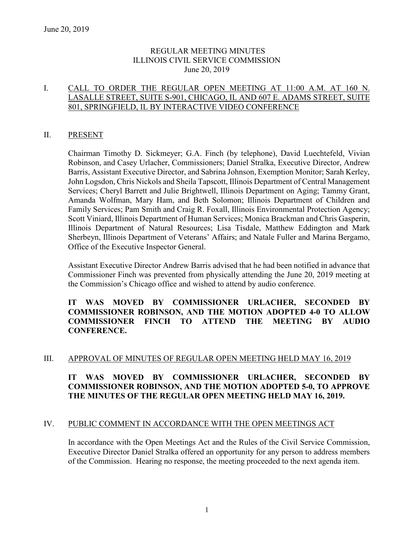### REGULAR MEETING MINUTES ILLINOIS CIVIL SERVICE COMMISSION June 20, 2019

### I. CALL TO ORDER THE REGULAR OPEN MEETING AT 11:00 A.M. AT 160 N. LASALLE STREET, SUITE S-901, CHICAGO, IL AND 607 E. ADAMS STREET, SUITE 801, SPRINGFIELD, IL BY INTERACTIVE VIDEO CONFERENCE

#### II. PRESENT

Chairman Timothy D. Sickmeyer; G.A. Finch (by telephone), David Luechtefeld, Vivian Robinson, and Casey Urlacher, Commissioners; Daniel Stralka, Executive Director, Andrew Barris, Assistant Executive Director, and Sabrina Johnson, Exemption Monitor; Sarah Kerley, John Logsdon, Chris Nickols and Sheila Tapscott, Illinois Department of Central Management Services; Cheryl Barrett and Julie Brightwell, Illinois Department on Aging; Tammy Grant, Amanda Wolfman, Mary Ham, and Beth Solomon; Illinois Department of Children and Family Services; Pam Smith and Craig R. Foxall, Illinois Environmental Protection Agency; Scott Viniard, Illinois Department of Human Services; Monica Brackman and Chris Gasperin, Illinois Department of Natural Resources; Lisa Tisdale, Matthew Eddington and Mark Sherbeyn, Illinois Department of Veterans' Affairs; and Natale Fuller and Marina Bergamo, Office of the Executive Inspector General.

Assistant Executive Director Andrew Barris advised that he had been notified in advance that Commissioner Finch was prevented from physically attending the June 20, 2019 meeting at the Commission's Chicago office and wished to attend by audio conference.

### **IT WAS MOVED BY COMMISSIONER URLACHER, SECONDED BY COMMISSIONER ROBINSON, AND THE MOTION ADOPTED 4-0 TO ALLOW COMMISSIONER FINCH TO ATTEND THE MEETING BY AUDIO CONFERENCE.**

## III. APPROVAL OF MINUTES OF REGULAR OPEN MEETING HELD MAY 16, 2019

# **IT WAS MOVED BY COMMISSIONER URLACHER, SECONDED BY COMMISSIONER ROBINSON, AND THE MOTION ADOPTED 5-0, TO APPROVE THE MINUTES OF THE REGULAR OPEN MEETING HELD MAY 16, 2019.**

#### IV. PUBLIC COMMENT IN ACCORDANCE WITH THE OPEN MEETINGS ACT

In accordance with the Open Meetings Act and the Rules of the Civil Service Commission, Executive Director Daniel Stralka offered an opportunity for any person to address members of the Commission. Hearing no response, the meeting proceeded to the next agenda item.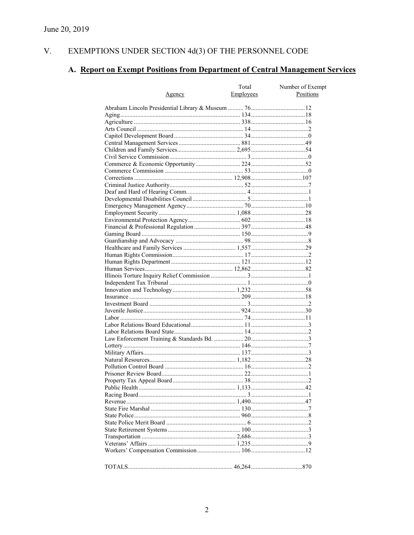#### V. EXEMPTIONS UNDER SECTION  $4d(3)$  OF THE PERSONNEL CODE

# A. Report on Exempt Positions from Department of Central Management Services

|        | Total     | Number of Exempt |
|--------|-----------|------------------|
| Agency | Employees | Positions        |
|        |           |                  |
|        |           |                  |
|        |           |                  |
|        |           |                  |
|        |           |                  |
|        |           |                  |
|        |           |                  |
|        |           |                  |
|        |           |                  |
|        |           |                  |
|        |           |                  |
|        |           |                  |
|        |           |                  |
|        |           |                  |
|        |           |                  |
|        |           |                  |
|        |           |                  |
|        |           |                  |
|        |           |                  |
|        |           |                  |
|        |           |                  |
|        |           |                  |
|        |           |                  |
|        |           |                  |
|        |           |                  |
|        |           |                  |
|        |           |                  |
|        |           |                  |
|        |           |                  |
|        |           |                  |
|        |           |                  |
|        |           |                  |
|        |           |                  |
|        |           |                  |
|        |           |                  |
|        |           |                  |
|        |           |                  |
|        |           |                  |
|        |           |                  |
|        |           |                  |
|        |           |                  |
|        |           |                  |
|        |           |                  |
|        |           |                  |
|        |           |                  |
|        |           |                  |
|        |           |                  |
|        |           |                  |
|        |           |                  |
|        |           |                  |
|        |           |                  |
|        |           |                  |
|        |           |                  |
|        |           |                  |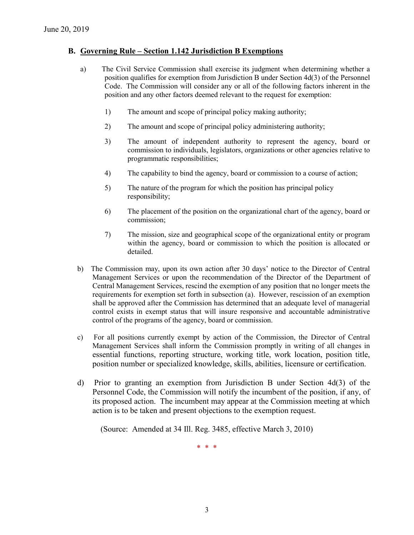### **B. Governing Rule – Section 1.142 Jurisdiction B Exemptions**

- a) The Civil Service Commission shall exercise its judgment when determining whether a position qualifies for exemption from Jurisdiction B under Section 4d(3) of the Personnel Code. The Commission will consider any or all of the following factors inherent in the position and any other factors deemed relevant to the request for exemption:
	- 1) The amount and scope of principal policy making authority;
	- 2) The amount and scope of principal policy administering authority;
	- 3) The amount of independent authority to represent the agency, board or commission to individuals, legislators, organizations or other agencies relative to programmatic responsibilities;
	- 4) The capability to bind the agency, board or commission to a course of action;
	- 5) The nature of the program for which the position has principal policy responsibility;
	- 6) The placement of the position on the organizational chart of the agency, board or commission;
	- 7) The mission, size and geographical scope of the organizational entity or program within the agency, board or commission to which the position is allocated or detailed.
- b) The Commission may, upon its own action after 30 days' notice to the Director of Central Management Services or upon the recommendation of the Director of the Department of Central Management Services, rescind the exemption of any position that no longer meets the requirements for exemption set forth in subsection (a). However, rescission of an exemption shall be approved after the Commission has determined that an adequate level of managerial control exists in exempt status that will insure responsive and accountable administrative control of the programs of the agency, board or commission.
- c) For all positions currently exempt by action of the Commission, the Director of Central Management Services shall inform the Commission promptly in writing of all changes in essential functions, reporting structure, working title, work location, position title, position number or specialized knowledge, skills, abilities, licensure or certification.
- d) Prior to granting an exemption from Jurisdiction B under Section 4d(3) of the Personnel Code, the Commission will notify the incumbent of the position, if any, of its proposed action. The incumbent may appear at the Commission meeting at which action is to be taken and present objections to the exemption request.

(Source: Amended at 34 Ill. Reg. 3485, effective March 3, 2010)

\* \* \*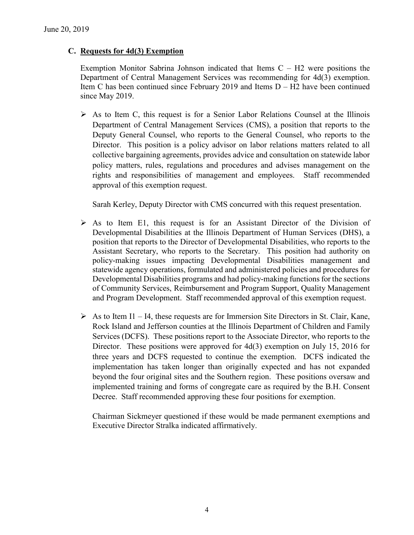### **C. Requests for 4d(3) Exemption**

Exemption Monitor Sabrina Johnson indicated that Items  $C - H2$  were positions the Department of Central Management Services was recommending for 4d(3) exemption. Item C has been continued since February 2019 and Items D – H2 have been continued since May 2019.

 $\triangleright$  As to Item C, this request is for a Senior Labor Relations Counsel at the Illinois Department of Central Management Services (CMS), a position that reports to the Deputy General Counsel, who reports to the General Counsel, who reports to the Director. This position is a policy advisor on labor relations matters related to all collective bargaining agreements, provides advice and consultation on statewide labor policy matters, rules, regulations and procedures and advises management on the rights and responsibilities of management and employees. Staff recommended approval of this exemption request.

Sarah Kerley, Deputy Director with CMS concurred with this request presentation.

- $\triangleright$  As to Item E1, this request is for an Assistant Director of the Division of Developmental Disabilities at the Illinois Department of Human Services (DHS), a position that reports to the Director of Developmental Disabilities, who reports to the Assistant Secretary, who reports to the Secretary. This position had authority on policy-making issues impacting Developmental Disabilities management and statewide agency operations, formulated and administered policies and procedures for Developmental Disabilities programs and had policy-making functions for the sections of Community Services, Reimbursement and Program Support, Quality Management and Program Development. Staff recommended approval of this exemption request.
- $\triangleright$  As to Item I1 I4, these requests are for Immersion Site Directors in St. Clair, Kane, Rock Island and Jefferson counties at the Illinois Department of Children and Family Services (DCFS). These positions report to the Associate Director, who reports to the Director. These positions were approved for 4d(3) exemption on July 15, 2016 for three years and DCFS requested to continue the exemption. DCFS indicated the implementation has taken longer than originally expected and has not expanded beyond the four original sites and the Southern region. These positions oversaw and implemented training and forms of congregate care as required by the B.H. Consent Decree. Staff recommended approving these four positions for exemption.

Chairman Sickmeyer questioned if these would be made permanent exemptions and Executive Director Stralka indicated affirmatively.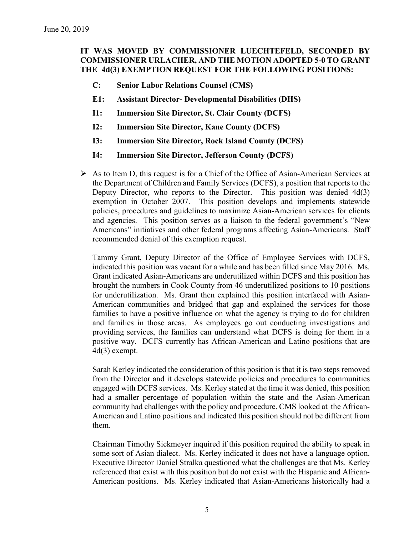# **IT WAS MOVED BY COMMISSIONER LUECHTEFELD, SECONDED BY COMMISSIONER URLACHER, AND THE MOTION ADOPTED 5-0 TO GRANT THE 4d(3) EXEMPTION REQUEST FOR THE FOLLOWING POSITIONS:**

- **C: Senior Labor Relations Counsel (CMS)**
- **E1: Assistant Director- Developmental Disabilities (DHS)**
- **I1: Immersion Site Director, St. Clair County (DCFS)**
- **I2: Immersion Site Director, Kane County (DCFS)**
- **I3: Immersion Site Director, Rock Island County (DCFS)**
- **I4: Immersion Site Director, Jefferson County (DCFS)**
- $\triangleright$  As to Item D, this request is for a Chief of the Office of Asian-American Services at the Department of Children and Family Services (DCFS), a position that reports to the Deputy Director, who reports to the Director. This position was denied 4d(3) exemption in October 2007. This position develops and implements statewide policies, procedures and guidelines to maximize Asian-American services for clients and agencies. This position serves as a liaison to the federal government's "New Americans" initiatives and other federal programs affecting Asian-Americans. Staff recommended denial of this exemption request.

Tammy Grant, Deputy Director of the Office of Employee Services with DCFS, indicated this position was vacant for a while and has been filled since May 2016. Ms. Grant indicated Asian-Americans are underutilized within DCFS and this position has brought the numbers in Cook County from 46 underutilized positions to 10 positions for underutilization. Ms. Grant then explained this position interfaced with Asian-American communities and bridged that gap and explained the services for those families to have a positive influence on what the agency is trying to do for children and families in those areas. As employees go out conducting investigations and providing services, the families can understand what DCFS is doing for them in a positive way. DCFS currently has African-American and Latino positions that are 4d(3) exempt.

Sarah Kerley indicated the consideration of this position is that it is two steps removed from the Director and it develops statewide policies and procedures to communities engaged with DCFS services. Ms. Kerley stated at the time it was denied, this position had a smaller percentage of population within the state and the Asian-American community had challenges with the policy and procedure. CMS looked at the African-American and Latino positions and indicated this position should not be different from them.

Chairman Timothy Sickmeyer inquired if this position required the ability to speak in some sort of Asian dialect. Ms. Kerley indicated it does not have a language option. Executive Director Daniel Stralka questioned what the challenges are that Ms. Kerley referenced that exist with this position but do not exist with the Hispanic and African-American positions. Ms. Kerley indicated that Asian-Americans historically had a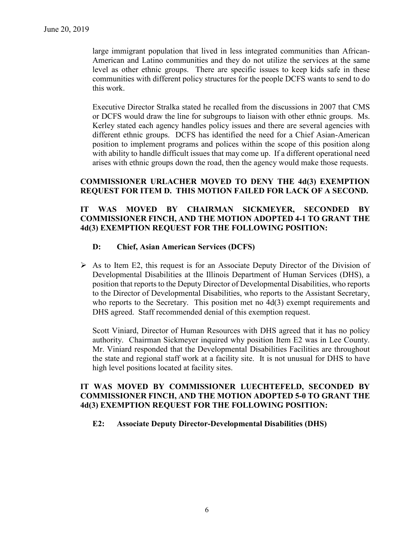large immigrant population that lived in less integrated communities than African-American and Latino communities and they do not utilize the services at the same level as other ethnic groups. There are specific issues to keep kids safe in these communities with different policy structures for the people DCFS wants to send to do this work.

Executive Director Stralka stated he recalled from the discussions in 2007 that CMS or DCFS would draw the line for subgroups to liaison with other ethnic groups. Ms. Kerley stated each agency handles policy issues and there are several agencies with different ethnic groups. DCFS has identified the need for a Chief Asian-American position to implement programs and polices within the scope of this position along with ability to handle difficult issues that may come up. If a different operational need arises with ethnic groups down the road, then the agency would make those requests.

## **COMMISSIONER URLACHER MOVED TO DENY THE 4d(3) EXEMPTION REQUEST FOR ITEM D. THIS MOTION FAILED FOR LACK OF A SECOND.**

#### **IT WAS MOVED BY CHAIRMAN SICKMEYER, SECONDED BY COMMISSIONER FINCH, AND THE MOTION ADOPTED 4-1 TO GRANT THE 4d(3) EXEMPTION REQUEST FOR THE FOLLOWING POSITION:**

#### **D: Chief, Asian American Services (DCFS)**

 $\triangleright$  As to Item E2, this request is for an Associate Deputy Director of the Division of Developmental Disabilities at the Illinois Department of Human Services (DHS), a position that reports to the Deputy Director of Developmental Disabilities, who reports to the Director of Developmental Disabilities, who reports to the Assistant Secretary, who reports to the Secretary. This position met no 4d(3) exempt requirements and DHS agreed. Staff recommended denial of this exemption request.

Scott Viniard, Director of Human Resources with DHS agreed that it has no policy authority. Chairman Sickmeyer inquired why position Item E2 was in Lee County. Mr. Viniard responded that the Developmental Disabilities Facilities are throughout the state and regional staff work at a facility site. It is not unusual for DHS to have high level positions located at facility sites.

### **IT WAS MOVED BY COMMISSIONER LUECHTEFELD, SECONDED BY COMMISSIONER FINCH, AND THE MOTION ADOPTED 5-0 TO GRANT THE 4d(3) EXEMPTION REQUEST FOR THE FOLLOWING POSITION:**

#### **E2: Associate Deputy Director-Developmental Disabilities (DHS)**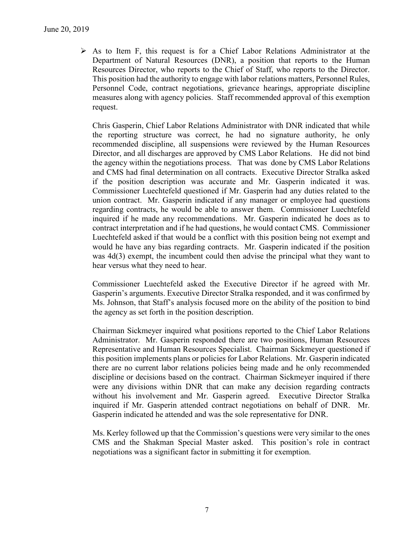$\triangleright$  As to Item F, this request is for a Chief Labor Relations Administrator at the Department of Natural Resources (DNR), a position that reports to the Human Resources Director, who reports to the Chief of Staff, who reports to the Director. This position had the authority to engage with labor relations matters, Personnel Rules, Personnel Code, contract negotiations, grievance hearings, appropriate discipline measures along with agency policies. Staff recommended approval of this exemption request.

Chris Gasperin, Chief Labor Relations Administrator with DNR indicated that while the reporting structure was correct, he had no signature authority, he only recommended discipline, all suspensions were reviewed by the Human Resources Director, and all discharges are approved by CMS Labor Relations. He did not bind the agency within the negotiations process. That was done by CMS Labor Relations and CMS had final determination on all contracts. Executive Director Stralka asked if the position description was accurate and Mr. Gasperin indicated it was. Commissioner Luechtefeld questioned if Mr. Gasperin had any duties related to the union contract. Mr. Gasperin indicated if any manager or employee had questions regarding contracts, he would be able to answer them. Commissioner Luechtefeld inquired if he made any recommendations. Mr. Gasperin indicated he does as to contract interpretation and if he had questions, he would contact CMS. Commissioner Luechtefeld asked if that would be a conflict with this position being not exempt and would he have any bias regarding contracts. Mr. Gasperin indicated if the position was 4d(3) exempt, the incumbent could then advise the principal what they want to hear versus what they need to hear.

Commissioner Luechtefeld asked the Executive Director if he agreed with Mr. Gasperin's arguments. Executive Director Stralka responded, and it was confirmed by Ms. Johnson, that Staff's analysis focused more on the ability of the position to bind the agency as set forth in the position description.

Chairman Sickmeyer inquired what positions reported to the Chief Labor Relations Administrator. Mr. Gasperin responded there are two positions, Human Resources Representative and Human Resources Specialist. Chairman Sickmeyer questioned if this position implements plans or policies for Labor Relations. Mr. Gasperin indicated there are no current labor relations policies being made and he only recommended discipline or decisions based on the contract. Chairman Sickmeyer inquired if there were any divisions within DNR that can make any decision regarding contracts without his involvement and Mr. Gasperin agreed. Executive Director Stralka inquired if Mr. Gasperin attended contract negotiations on behalf of DNR. Mr. Gasperin indicated he attended and was the sole representative for DNR.

Ms. Kerley followed up that the Commission's questions were very similar to the ones CMS and the Shakman Special Master asked. This position's role in contract negotiations was a significant factor in submitting it for exemption.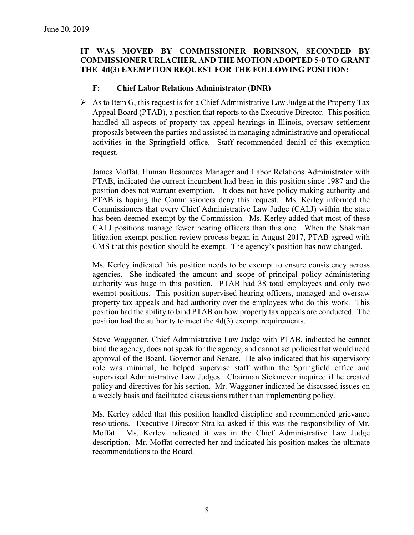## **IT WAS MOVED BY COMMISSIONER ROBINSON, SECONDED BY COMMISSIONER URLACHER, AND THE MOTION ADOPTED 5-0 TO GRANT THE 4d(3) EXEMPTION REQUEST FOR THE FOLLOWING POSITION:**

### **F: Chief Labor Relations Administrator (DNR)**

 $\triangleright$  As to Item G, this request is for a Chief Administrative Law Judge at the Property Tax Appeal Board (PTAB), a position that reports to the Executive Director. This position handled all aspects of property tax appeal hearings in Illinois, oversaw settlement proposals between the parties and assisted in managing administrative and operational activities in the Springfield office. Staff recommended denial of this exemption request.

James Moffat, Human Resources Manager and Labor Relations Administrator with PTAB, indicated the current incumbent had been in this position since 1987 and the position does not warrant exemption. It does not have policy making authority and PTAB is hoping the Commissioners deny this request. Ms. Kerley informed the Commissioners that every Chief Administrative Law Judge (CALJ) within the state has been deemed exempt by the Commission. Ms. Kerley added that most of these CALJ positions manage fewer hearing officers than this one. When the Shakman litigation exempt position review process began in August 2017, PTAB agreed with CMS that this position should be exempt. The agency's position has now changed.

Ms. Kerley indicated this position needs to be exempt to ensure consistency across agencies. She indicated the amount and scope of principal policy administering authority was huge in this position. PTAB had 38 total employees and only two exempt positions. This position supervised hearing officers, managed and oversaw property tax appeals and had authority over the employees who do this work. This position had the ability to bind PTAB on how property tax appeals are conducted. The position had the authority to meet the 4d(3) exempt requirements.

Steve Waggoner, Chief Administrative Law Judge with PTAB, indicated he cannot bind the agency, does not speak for the agency, and cannot set policies that would need approval of the Board, Governor and Senate. He also indicated that his supervisory role was minimal, he helped supervise staff within the Springfield office and supervised Administrative Law Judges. Chairman Sickmeyer inquired if he created policy and directives for his section. Mr. Waggoner indicated he discussed issues on a weekly basis and facilitated discussions rather than implementing policy.

Ms. Kerley added that this position handled discipline and recommended grievance resolutions. Executive Director Stralka asked if this was the responsibility of Mr. Moffat. Ms. Kerley indicated it was in the Chief Administrative Law Judge description. Mr. Moffat corrected her and indicated his position makes the ultimate recommendations to the Board.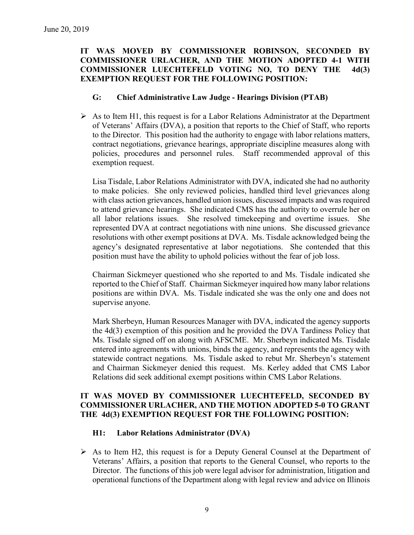### **IT WAS MOVED BY COMMISSIONER ROBINSON, SECONDED BY COMMISSIONER URLACHER, AND THE MOTION ADOPTED 4-1 WITH COMMISSIONER LUECHTEFELD VOTING NO, TO DENY THE 4d(3) EXEMPTION REQUEST FOR THE FOLLOWING POSITION:**

#### **G: Chief Administrative Law Judge - Hearings Division (PTAB)**

 $\triangleright$  As to Item H1, this request is for a Labor Relations Administrator at the Department of Veterans' Affairs (DVA), a position that reports to the Chief of Staff, who reports to the Director. This position had the authority to engage with labor relations matters, contract negotiations, grievance hearings, appropriate discipline measures along with policies, procedures and personnel rules. Staff recommended approval of this exemption request.

Lisa Tisdale, Labor Relations Administrator with DVA, indicated she had no authority to make policies. She only reviewed policies, handled third level grievances along with class action grievances, handled union issues, discussed impacts and was required to attend grievance hearings. She indicated CMS has the authority to overrule her on all labor relations issues. She resolved timekeeping and overtime issues. She represented DVA at contract negotiations with nine unions. She discussed grievance resolutions with other exempt positions at DVA. Ms. Tisdale acknowledged being the agency's designated representative at labor negotiations. She contended that this position must have the ability to uphold policies without the fear of job loss.

Chairman Sickmeyer questioned who she reported to and Ms. Tisdale indicated she reported to the Chief of Staff. Chairman Sickmeyer inquired how many labor relations positions are within DVA. Ms. Tisdale indicated she was the only one and does not supervise anyone.

Mark Sherbeyn, Human Resources Manager with DVA, indicated the agency supports the 4d(3) exemption of this position and he provided the DVA Tardiness Policy that Ms. Tisdale signed off on along with AFSCME. Mr. Sherbeyn indicated Ms. Tisdale entered into agreements with unions, binds the agency, and represents the agency with statewide contract negations. Ms. Tisdale asked to rebut Mr. Sherbeyn's statement and Chairman Sickmeyer denied this request. Ms. Kerley added that CMS Labor Relations did seek additional exempt positions within CMS Labor Relations.

## **IT WAS MOVED BY COMMISSIONER LUECHTEFELD, SECONDED BY COMMISSIONER URLACHER, AND THE MOTION ADOPTED 5-0 TO GRANT THE 4d(3) EXEMPTION REQUEST FOR THE FOLLOWING POSITION:**

## **H1: Labor Relations Administrator (DVA)**

 $\triangleright$  As to Item H2, this request is for a Deputy General Counsel at the Department of Veterans' Affairs, a position that reports to the General Counsel, who reports to the Director. The functions of this job were legal advisor for administration, litigation and operational functions of the Department along with legal review and advice on Illinois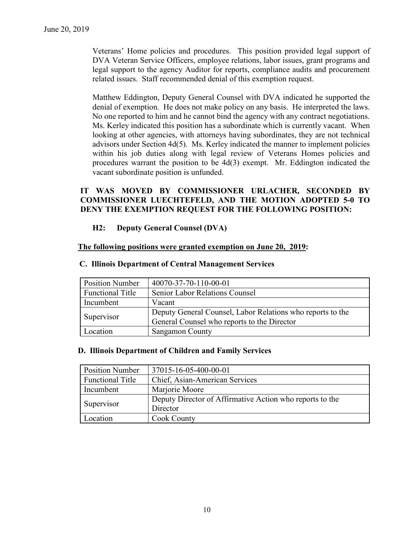Veterans' Home policies and procedures. This position provided legal support of DVA Veteran Service Officers, employee relations, labor issues, grant programs and legal support to the agency Auditor for reports, compliance audits and procurement related issues. Staff recommended denial of this exemption request.

Matthew Eddington, Deputy General Counsel with DVA indicated he supported the denial of exemption. He does not make policy on any basis. He interpreted the laws. No one reported to him and he cannot bind the agency with any contract negotiations. Ms. Kerley indicated this position has a subordinate which is currently vacant. When looking at other agencies, with attorneys having subordinates, they are not technical advisors under Section  $4d(5)$ . Ms. Kerley indicated the manner to implement policies within his job duties along with legal review of Veterans Homes policies and procedures warrant the position to be 4d(3) exempt. Mr. Eddington indicated the vacant subordinate position is unfunded.

### **IT WAS MOVED BY COMMISSIONER URLACHER, SECONDED BY COMMISSIONER LUECHTEFELD, AND THE MOTION ADOPTED 5-0 TO DENY THE EXEMPTION REQUEST FOR THE FOLLOWING POSITION:**

### **H2: Deputy General Counsel (DVA)**

#### **The following positions were granted exemption on June 20, 2019:**

| <b>Position Number</b>  | 40070-37-70-110-00-01                                      |
|-------------------------|------------------------------------------------------------|
| <b>Functional Title</b> | <b>Senior Labor Relations Counsel</b>                      |
| Incumbent               | Vacant                                                     |
| Supervisor              | Deputy General Counsel, Labor Relations who reports to the |
|                         | General Counsel who reports to the Director                |
| Location                | <b>Sangamon County</b>                                     |

#### **C. Illinois Department of Central Management Services**

#### **D. Illinois Department of Children and Family Services**

| <b>Position Number</b>  | 37015-16-05-400-00-01                                    |
|-------------------------|----------------------------------------------------------|
| <b>Functional Title</b> | Chief, Asian-American Services                           |
| Incumbent               | Marjorie Moore                                           |
|                         | Deputy Director of Affirmative Action who reports to the |
| Supervisor              | Director                                                 |
| Location                | <b>Cook County</b>                                       |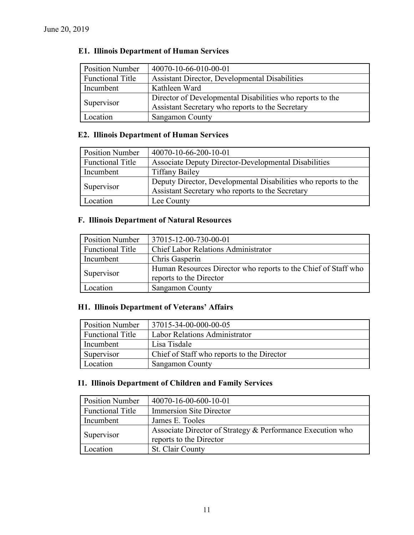# **E1. Illinois Department of Human Services**

| <b>Position Number</b>  | 40070-10-66-010-00-01                                     |
|-------------------------|-----------------------------------------------------------|
| <b>Functional Title</b> | <b>Assistant Director, Developmental Disabilities</b>     |
| Incumbent               | Kathleen Ward                                             |
| Supervisor              | Director of Developmental Disabilities who reports to the |
|                         | Assistant Secretary who reports to the Secretary          |
| Location                | <b>Sangamon County</b>                                    |

# **E2. Illinois Department of Human Services**

| <b>Position Number</b>  | 40070-10-66-200-10-01                                          |
|-------------------------|----------------------------------------------------------------|
| <b>Functional Title</b> | Associate Deputy Director-Developmental Disabilities           |
| Incumbent               | <b>Tiffany Bailey</b>                                          |
| Supervisor              | Deputy Director, Developmental Disabilities who reports to the |
|                         | Assistant Secretary who reports to the Secretary               |
| Location                | Lee County                                                     |

# **F. Illinois Department of Natural Resources**

| <b>Position Number</b>  | 37015-12-00-730-00-01                                                                     |
|-------------------------|-------------------------------------------------------------------------------------------|
| <b>Functional Title</b> | <b>Chief Labor Relations Administrator</b>                                                |
| Incumbent               | Chris Gasperin                                                                            |
| Supervisor              | Human Resources Director who reports to the Chief of Staff who<br>reports to the Director |
| Location                | <b>Sangamon County</b>                                                                    |

# **H1. Illinois Department of Veterans' Affairs**

| <b>Position Number</b>  | 37015-34-00-000-00-05                      |
|-------------------------|--------------------------------------------|
| <b>Functional Title</b> | Labor Relations Administrator              |
| Incumbent               | Lisa Tisdale                               |
| Supervisor              | Chief of Staff who reports to the Director |
| Location                | <b>Sangamon County</b>                     |

### **I1. Illinois Department of Children and Family Services**

| <b>Position Number</b>  | 40070-16-00-600-10-01                                                                 |
|-------------------------|---------------------------------------------------------------------------------------|
| <b>Functional Title</b> | <b>Immersion Site Director</b>                                                        |
| Incumbent               | James E. Tooles                                                                       |
| Supervisor              | Associate Director of Strategy & Performance Execution who<br>reports to the Director |
| Location                | St. Clair County                                                                      |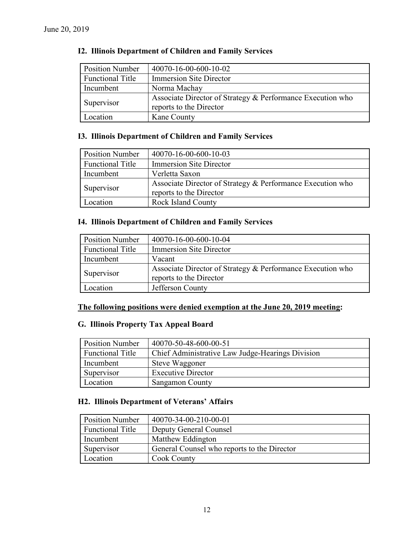| <b>Position Number</b>  | 40070-16-00-600-10-02                                      |
|-------------------------|------------------------------------------------------------|
| <b>Functional Title</b> | Immersion Site Director                                    |
| Incumbent               | Norma Machay                                               |
| Supervisor              | Associate Director of Strategy & Performance Execution who |
|                         | reports to the Director                                    |
| Location                | Kane County                                                |

### **I2. Illinois Department of Children and Family Services**

## **I3. Illinois Department of Children and Family Services**

| <b>Position Number</b>  | 40070-16-00-600-10-03                                                                 |
|-------------------------|---------------------------------------------------------------------------------------|
| <b>Functional Title</b> | <b>Immersion Site Director</b>                                                        |
| Incumbent               | Verletta Saxon                                                                        |
| Supervisor              | Associate Director of Strategy & Performance Execution who<br>reports to the Director |
| Location                | <b>Rock Island County</b>                                                             |

### **I4. Illinois Department of Children and Family Services**

| <b>Position Number</b>  | 40070-16-00-600-10-04                                                                 |
|-------------------------|---------------------------------------------------------------------------------------|
| <b>Functional Title</b> | <b>Immersion Site Director</b>                                                        |
| Incumbent               | Vacant                                                                                |
| Supervisor              | Associate Director of Strategy & Performance Execution who<br>reports to the Director |
| Location                | Jefferson County                                                                      |

### **The following positions were denied exemption at the June 20, 2019 meeting:**

# **G. Illinois Property Tax Appeal Board**

| <b>Position Number</b>  | 40070-50-48-600-00-51                            |
|-------------------------|--------------------------------------------------|
| <b>Functional Title</b> | Chief Administrative Law Judge-Hearings Division |
| Incumbent               | Steve Waggoner                                   |
| Supervisor              | <b>Executive Director</b>                        |
| Location                | <b>Sangamon County</b>                           |

### **H2. Illinois Department of Veterans' Affairs**

| <b>Position Number</b>  | 40070-34-00-210-00-01                       |
|-------------------------|---------------------------------------------|
| <b>Functional Title</b> | Deputy General Counsel                      |
| Incumbent               | Matthew Eddington                           |
| Supervisor              | General Counsel who reports to the Director |
| Location                | Cook County                                 |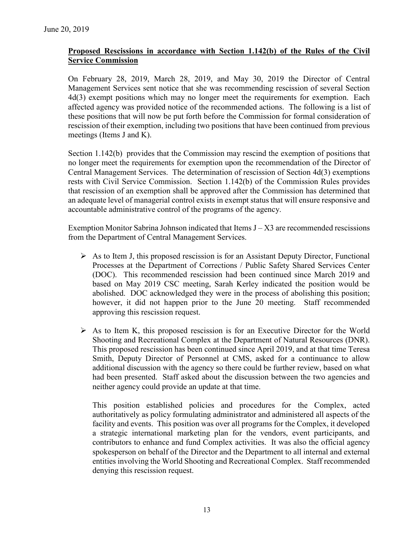## **Proposed Rescissions in accordance with Section 1.142(b) of the Rules of the Civil Service Commission**

On February 28, 2019, March 28, 2019, and May 30, 2019 the Director of Central Management Services sent notice that she was recommending rescission of several Section 4d(3) exempt positions which may no longer meet the requirements for exemption. Each affected agency was provided notice of the recommended actions. The following is a list of these positions that will now be put forth before the Commission for formal consideration of rescission of their exemption, including two positions that have been continued from previous meetings (Items J and K).

Section 1.142(b) provides that the Commission may rescind the exemption of positions that no longer meet the requirements for exemption upon the recommendation of the Director of Central Management Services. The determination of rescission of Section 4d(3) exemptions rests with Civil Service Commission. Section 1.142(b) of the Commission Rules provides that rescission of an exemption shall be approved after the Commission has determined that an adequate level of managerial control exists in exempt status that will ensure responsive and accountable administrative control of the programs of the agency.

Exemption Monitor Sabrina Johnson indicated that Items  $J - X3$  are recommended rescissions from the Department of Central Management Services.

- $\triangleright$  As to Item J, this proposed rescission is for an Assistant Deputy Director, Functional Processes at the Department of Corrections / Public Safety Shared Services Center (DOC). This recommended rescission had been continued since March 2019 and based on May 2019 CSC meeting, Sarah Kerley indicated the position would be abolished. DOC acknowledged they were in the process of abolishing this position; however, it did not happen prior to the June 20 meeting. Staff recommended approving this rescission request.
- $\triangleright$  As to Item K, this proposed rescission is for an Executive Director for the World Shooting and Recreational Complex at the Department of Natural Resources (DNR). This proposed rescission has been continued since April 2019, and at that time Teresa Smith, Deputy Director of Personnel at CMS, asked for a continuance to allow additional discussion with the agency so there could be further review, based on what had been presented. Staff asked about the discussion between the two agencies and neither agency could provide an update at that time.

This position established policies and procedures for the Complex, acted authoritatively as policy formulating administrator and administered all aspects of the facility and events. This position was over all programs for the Complex, it developed a strategic international marketing plan for the vendors, event participants, and contributors to enhance and fund Complex activities. It was also the official agency spokesperson on behalf of the Director and the Department to all internal and external entities involving the World Shooting and Recreational Complex. Staff recommended denying this rescission request.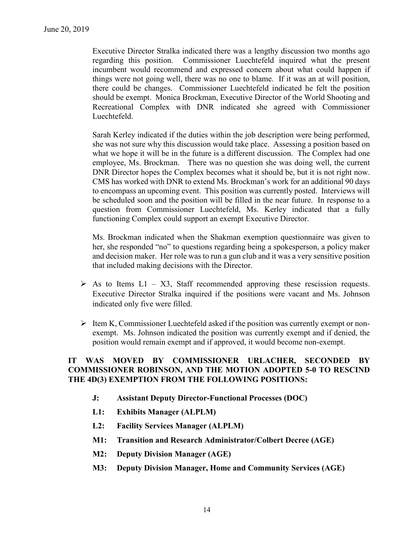Executive Director Stralka indicated there was a lengthy discussion two months ago regarding this position. Commissioner Luechtefeld inquired what the present incumbent would recommend and expressed concern about what could happen if things were not going well, there was no one to blame. If it was an at will position, there could be changes. Commissioner Luechtefeld indicated he felt the position should be exempt. Monica Brockman, Executive Director of the World Shooting and Recreational Complex with DNR indicated she agreed with Commissioner Luechtefeld.

Sarah Kerley indicated if the duties within the job description were being performed, she was not sure why this discussion would take place. Assessing a position based on what we hope it will be in the future is a different discussion. The Complex had one employee, Ms. Brockman. There was no question she was doing well, the current DNR Director hopes the Complex becomes what it should be, but it is not right now. CMS has worked with DNR to extend Ms. Brockman's work for an additional 90 days to encompass an upcoming event. This position was currently posted. Interviews will be scheduled soon and the position will be filled in the near future. In response to a question from Commissioner Luechtefeld, Ms. Kerley indicated that a fully functioning Complex could support an exempt Executive Director.

Ms. Brockman indicated when the Shakman exemption questionnaire was given to her, she responded "no" to questions regarding being a spokesperson, a policy maker and decision maker. Her role was to run a gun club and it was a very sensitive position that included making decisions with the Director.

- $\triangleright$  As to Items L1 X3, Staff recommended approving these rescission requests. Executive Director Stralka inquired if the positions were vacant and Ms. Johnson indicated only five were filled.
- $\triangleright$  Item K, Commissioner Luechtefeld asked if the position was currently exempt or nonexempt. Ms. Johnson indicated the position was currently exempt and if denied, the position would remain exempt and if approved, it would become non-exempt.

### **IT WAS MOVED BY COMMISSIONER URLACHER, SECONDED BY COMMISSIONER ROBINSON, AND THE MOTION ADOPTED 5-0 TO RESCIND THE 4D(3) EXEMPTION FROM THE FOLLOWING POSITIONS:**

- **J: Assistant Deputy Director-Functional Processes (DOC)**
- **L1: Exhibits Manager (ALPLM)**
- **L2: Facility Services Manager (ALPLM)**
- **M1: Transition and Research Administrator/Colbert Decree (AGE)**
- **M2: Deputy Division Manager (AGE)**
- **M3: Deputy Division Manager, Home and Community Services (AGE)**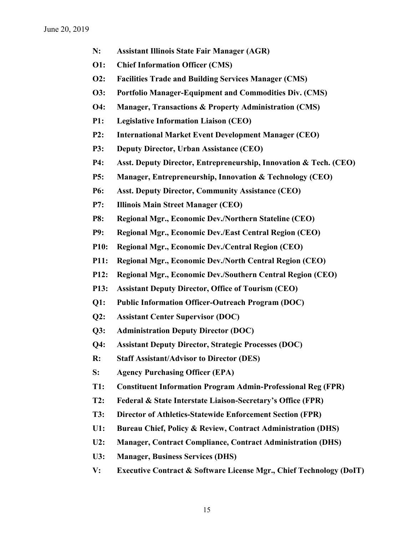- **N: Assistant Illinois State Fair Manager (AGR)**
- **O1: Chief Information Officer (CMS)**
- **O2: Facilities Trade and Building Services Manager (CMS)**
- **O3: Portfolio Manager-Equipment and Commodities Div. (CMS)**
- **O4: Manager, Transactions & Property Administration (CMS)**
- **P1: Legislative Information Liaison (CEO)**
- **P2: International Market Event Development Manager (CEO)**
- **P3: Deputy Director, Urban Assistance (CEO)**
- **P4: Asst. Deputy Director, Entrepreneurship, Innovation & Tech. (CEO)**
- **P5: Manager, Entrepreneurship, Innovation & Technology (CEO)**
- **P6: Asst. Deputy Director, Community Assistance (CEO)**
- **P7: Illinois Main Street Manager (CEO)**
- **P8: Regional Mgr., Economic Dev./Northern Stateline (CEO)**
- **P9: Regional Mgr., Economic Dev./East Central Region (CEO)**
- **P10: Regional Mgr., Economic Dev./Central Region (CEO)**
- **P11: Regional Mgr., Economic Dev./North Central Region (CEO)**
- **P12: Regional Mgr., Economic Dev./Southern Central Region (CEO)**
- **P13: Assistant Deputy Director, Office of Tourism (CEO)**
- **Q1: Public Information Officer-Outreach Program (DOC)**
- **Q2: Assistant Center Supervisor (DOC)**
- **Q3: Administration Deputy Director (DOC)**
- **Q4: Assistant Deputy Director, Strategic Processes (DOC)**
- **R: Staff Assistant/Advisor to Director (DES)**
- **S: Agency Purchasing Officer (EPA)**
- **T1: Constituent Information Program Admin-Professional Reg (FPR)**
- **T2: Federal & State Interstate Liaison-Secretary's Office (FPR)**
- **T3: Director of Athletics-Statewide Enforcement Section (FPR)**
- **U1: Bureau Chief, Policy & Review, Contract Administration (DHS)**
- **U2: Manager, Contract Compliance, Contract Administration (DHS)**
- **U3: Manager, Business Services (DHS)**
- **V: Executive Contract & Software License Mgr., Chief Technology (DoIT)**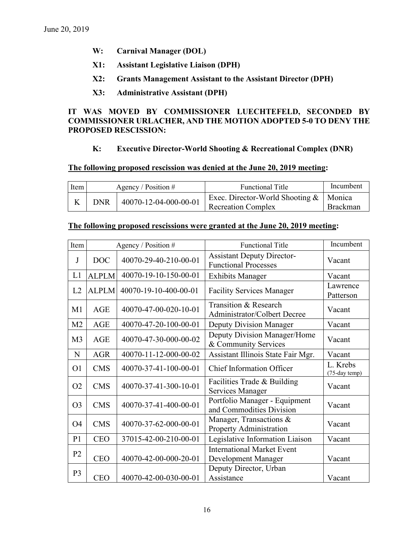- **W: Carnival Manager (DOL)**
- **X1: Assistant Legislative Liaison (DPH)**
- **X2: Grants Management Assistant to the Assistant Director (DPH)**
- **X3: Administrative Assistant (DPH)**

### **IT WAS MOVED BY COMMISSIONER LUECHTEFELD, SECONDED BY COMMISSIONER URLACHER, AND THE MOTION ADOPTED 5-0 TO DENY THE PROPOSED RESCISSION:**

#### **K: Executive Director-World Shooting & Recreational Complex (DNR)**

#### **The following proposed rescission was denied at the June 20, 2019 meeting:**

| Item       | Agency / Position $#$ |                       | <b>Functional Title</b>   |                                          | Incumbent       |
|------------|-----------------------|-----------------------|---------------------------|------------------------------------------|-----------------|
| <b>DNR</b> |                       | 40070-12-04-000-00-01 |                           | Exec. Director-World Shooting &   Monica |                 |
|            |                       |                       | <b>Recreation Complex</b> |                                          | <b>Brackman</b> |

#### **The following proposed rescissions were granted at the June 20, 2019 meeting:**

| Item           |              | Agency / Position #   | <b>Functional Title</b>                                          | Incumbent                 |
|----------------|--------------|-----------------------|------------------------------------------------------------------|---------------------------|
| J              | <b>DOC</b>   | 40070-29-40-210-00-01 | <b>Assistant Deputy Director-</b><br><b>Functional Processes</b> | Vacant                    |
| L1             | <b>ALPLM</b> | 40070-19-10-150-00-01 | <b>Exhibits Manager</b>                                          | Vacant                    |
| L2             | <b>ALPLM</b> | 40070-19-10-400-00-01 | <b>Facility Services Manager</b>                                 | Lawrence<br>Patterson     |
| M1             | AGE          | 40070-47-00-020-10-01 | Transition & Research<br><b>Administrator/Colbert Decree</b>     | Vacant                    |
| M <sub>2</sub> | <b>AGE</b>   | 40070-47-20-100-00-01 | Deputy Division Manager                                          | Vacant                    |
| M <sub>3</sub> | AGE          | 40070-47-30-000-00-02 | Deputy Division Manager/Home<br>& Community Services             | Vacant                    |
| N              | <b>AGR</b>   | 40070-11-12-000-00-02 | Assistant Illinois State Fair Mgr.                               | Vacant                    |
| O <sub>1</sub> | <b>CMS</b>   | 40070-37-41-100-00-01 | <b>Chief Information Officer</b>                                 | L. Krebs<br>(75-day temp) |
| O <sub>2</sub> | <b>CMS</b>   | 40070-37-41-300-10-01 | Facilities Trade & Building<br>Services Manager                  | Vacant                    |
| O <sub>3</sub> | <b>CMS</b>   | 40070-37-41-400-00-01 | Portfolio Manager - Equipment<br>and Commodities Division        | Vacant                    |
| O <sub>4</sub> | <b>CMS</b>   | 40070-37-62-000-00-01 | Manager, Transactions &<br>Property Administration               | Vacant                    |
| P <sub>1</sub> | <b>CEO</b>   | 37015-42-00-210-00-01 | Legislative Information Liaison                                  | Vacant                    |
| P <sub>2</sub> | <b>CEO</b>   | 40070-42-00-000-20-01 | <b>International Market Event</b><br>Development Manager         | Vacant                    |
| P <sub>3</sub> | <b>CEO</b>   | 40070-42-00-030-00-01 | Deputy Director, Urban<br>Assistance                             | Vacant                    |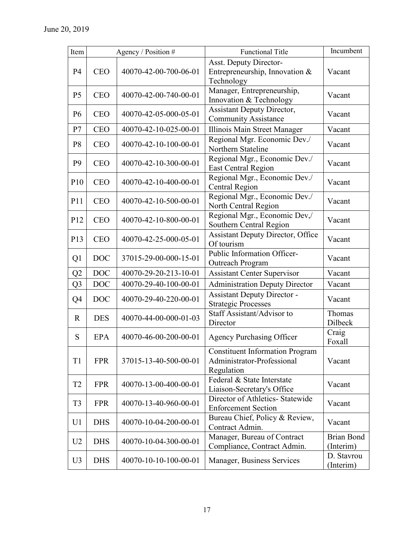| Item            |            | Agency / Position #   | <b>Functional Title</b>                                                            | Incumbent                      |
|-----------------|------------|-----------------------|------------------------------------------------------------------------------------|--------------------------------|
| P <sub>4</sub>  | <b>CEO</b> | 40070-42-00-700-06-01 | <b>Asst. Deputy Director-</b><br>Entrepreneurship, Innovation &<br>Technology      | Vacant                         |
| P <sub>5</sub>  | <b>CEO</b> | 40070-42-00-740-00-01 | Manager, Entrepreneurship,<br>Innovation & Technology                              | Vacant                         |
| P <sub>6</sub>  | <b>CEO</b> | 40070-42-05-000-05-01 | <b>Assistant Deputy Director,</b><br><b>Community Assistance</b>                   | Vacant                         |
| P7              | <b>CEO</b> | 40070-42-10-025-00-01 | Illinois Main Street Manager                                                       | Vacant                         |
| P <sub>8</sub>  | <b>CEO</b> | 40070-42-10-100-00-01 | Regional Mgr. Economic Dev./<br>Northern Stateline                                 | Vacant                         |
| P <sub>9</sub>  | <b>CEO</b> | 40070-42-10-300-00-01 | Regional Mgr., Economic Dev./<br><b>East Central Region</b>                        | Vacant                         |
| P10             | <b>CEO</b> | 40070-42-10-400-00-01 | Regional Mgr., Economic Dev./<br>Central Region                                    | Vacant                         |
| P11             | <b>CEO</b> | 40070-42-10-500-00-01 | Regional Mgr., Economic Dev./<br>North Central Region                              | Vacant                         |
| P <sub>12</sub> | <b>CEO</b> | 40070-42-10-800-00-01 | Regional Mgr., Economic Dev,/<br>Southern Central Region                           | Vacant                         |
| P <sub>13</sub> | <b>CEO</b> | 40070-42-25-000-05-01 | <b>Assistant Deputy Director, Office</b><br>Of tourism                             | Vacant                         |
| Q <sub>1</sub>  | <b>DOC</b> | 37015-29-00-000-15-01 | Public Information Officer-<br>Outreach Program                                    | Vacant                         |
| Q2              | <b>DOC</b> | 40070-29-20-213-10-01 | <b>Assistant Center Supervisor</b>                                                 | Vacant                         |
| Q <sub>3</sub>  | <b>DOC</b> | 40070-29-40-100-00-01 | <b>Administration Deputy Director</b>                                              | Vacant                         |
| Q4              | <b>DOC</b> | 40070-29-40-220-00-01 | <b>Assistant Deputy Director -</b><br><b>Strategic Processes</b>                   | Vacant                         |
| $\mathbf R$     | <b>DES</b> | 40070-44-00-000-01-03 | Staff Assistant/Advisor to<br>Director                                             | Thomas<br>Dilbeck              |
| S               | <b>EPA</b> | 40070-46-00-200-00-01 | <b>Agency Purchasing Officer</b>                                                   | Craig<br>Foxall                |
| T1              | <b>FPR</b> | 37015-13-40-500-00-01 | <b>Constituent Information Program</b><br>Administrator-Professional<br>Regulation | Vacant                         |
| T <sub>2</sub>  | <b>FPR</b> | 40070-13-00-400-00-01 | Federal & State Interstate<br>Liaison-Secretary's Office                           | Vacant                         |
| T <sub>3</sub>  | <b>FPR</b> | 40070-13-40-960-00-01 | Director of Athletics- Statewide<br><b>Enforcement Section</b>                     | Vacant                         |
| U <sub>1</sub>  | <b>DHS</b> | 40070-10-04-200-00-01 | Bureau Chief, Policy & Review,<br>Contract Admin.                                  | Vacant                         |
| U <sub>2</sub>  | <b>DHS</b> | 40070-10-04-300-00-01 | Manager, Bureau of Contract<br>Compliance, Contract Admin.                         | <b>Brian Bond</b><br>(Interim) |
| U <sub>3</sub>  | <b>DHS</b> | 40070-10-10-100-00-01 | Manager, Business Services                                                         | D. Stavrou<br>(Interim)        |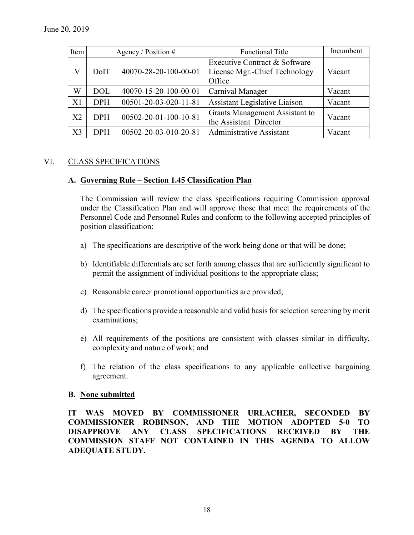| Item           |            | Agency / Position $#$ | <b>Functional Title</b>                                                  | Incumbent |
|----------------|------------|-----------------------|--------------------------------------------------------------------------|-----------|
| V              | DoIT       | 40070-28-20-100-00-01 | Executive Contract & Software<br>License Mgr.-Chief Technology<br>Office | Vacant    |
| W              | <b>DOL</b> | 40070-15-20-100-00-01 | Carnival Manager                                                         | Vacant    |
| X <sub>1</sub> | <b>DPH</b> | 00501-20-03-020-11-81 | <b>Assistant Legislative Liaison</b>                                     | Vacant    |
| X <sub>2</sub> | <b>DPH</b> | 00502-20-01-100-10-81 | Grants Management Assistant to<br>the Assistant Director                 | Vacant    |
| X3             | <b>DPH</b> | 00502-20-03-010-20-81 | <b>Administrative Assistant</b>                                          | Vacant    |

### VI. CLASS SPECIFICATIONS

#### **A. Governing Rule – Section 1.45 Classification Plan**

The Commission will review the class specifications requiring Commission approval under the Classification Plan and will approve those that meet the requirements of the Personnel Code and Personnel Rules and conform to the following accepted principles of position classification:

- a) The specifications are descriptive of the work being done or that will be done;
- b) Identifiable differentials are set forth among classes that are sufficiently significant to permit the assignment of individual positions to the appropriate class;
- c) Reasonable career promotional opportunities are provided;
- d) The specifications provide a reasonable and valid basis for selection screening by merit examinations;
- e) All requirements of the positions are consistent with classes similar in difficulty, complexity and nature of work; and
- f) The relation of the class specifications to any applicable collective bargaining agreement.

#### **B. None submitted**

**IT WAS MOVED BY COMMISSIONER URLACHER, SECONDED BY COMMISSIONER ROBINSON, AND THE MOTION ADOPTED 5-0 TO DISAPPROVE ANY CLASS SPECIFICATIONS RECEIVED BY THE COMMISSION STAFF NOT CONTAINED IN THIS AGENDA TO ALLOW ADEQUATE STUDY.**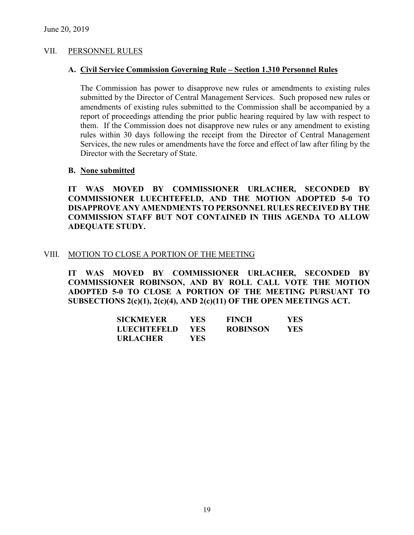#### VII. PERSONNEL RULES

#### **A. Civil Service Commission Governing Rule – Section 1.310 Personnel Rules**

The Commission has power to disapprove new rules or amendments to existing rules submitted by the Director of Central Management Services. Such proposed new rules or amendments of existing rules submitted to the Commission shall be accompanied by a report of proceedings attending the prior public hearing required by law with respect to them. If the Commission does not disapprove new rules or any amendment to existing rules within 30 days following the receipt from the Director of Central Management Services, the new rules or amendments have the force and effect of law after filing by the Director with the Secretary of State.

#### **B. None submitted**

**IT WAS MOVED BY COMMISSIONER URLACHER, SECONDED BY COMMISSIONER LUECHTEFELD, AND THE MOTION ADOPTED 5-0 TO DISAPPROVE ANY AMENDMENTS TO PERSONNEL RULES RECEIVED BY THE COMMISSION STAFF BUT NOT CONTAINED IN THIS AGENDA TO ALLOW ADEQUATE STUDY.** 

#### VIII. MOTION TO CLOSE A PORTION OF THE MEETING

**IT WAS MOVED BY COMMISSIONER URLACHER, SECONDED BY COMMISSIONER ROBINSON, AND BY ROLL CALL VOTE THE MOTION ADOPTED 5-0 TO CLOSE A PORTION OF THE MEETING PURSUANT TO SUBSECTIONS 2(c)(1), 2(c)(4), AND 2(c)(11) OF THE OPEN MEETINGS ACT.**

| <b>SICKMEYER</b>   | YES.       | <b>FINCH</b>    | YES. |
|--------------------|------------|-----------------|------|
| <b>LUECHTEFELD</b> | <b>YES</b> | <b>ROBINSON</b> | YES. |
| <b>URLACHER</b>    | YES.       |                 |      |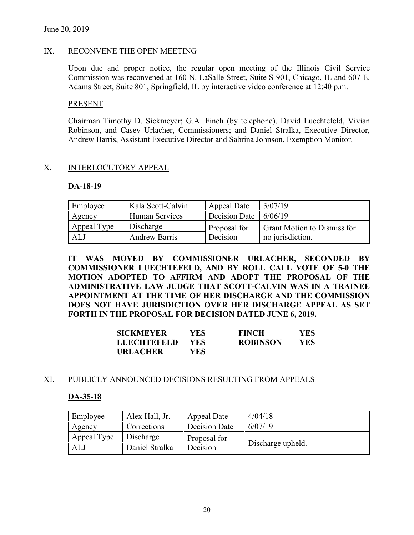#### IX. RECONVENE THE OPEN MEETING

Upon due and proper notice, the regular open meeting of the Illinois Civil Service Commission was reconvened at 160 N. LaSalle Street, Suite S-901, Chicago, IL and 607 E. Adams Street, Suite 801, Springfield, IL by interactive video conference at 12:40 p.m.

#### **PRESENT**

Chairman Timothy D. Sickmeyer; G.A. Finch (by telephone), David Luechtefeld, Vivian Robinson, and Casey Urlacher, Commissioners; and Daniel Stralka, Executive Director, Andrew Barris, Assistant Executive Director and Sabrina Johnson, Exemption Monitor.

### X. INTERLOCUTORY APPEAL

#### **DA-18-19**

| Employee    | Kala Scott-Calvin    | Appeal Date             | 3/07/19                            |
|-------------|----------------------|-------------------------|------------------------------------|
| Agency      | Human Services       | Decision Date $6/06/19$ |                                    |
| Appeal Type | Discharge            | Proposal for            | <b>Grant Motion to Dismiss for</b> |
| ALJ         | <b>Andrew Barris</b> | Decision                | no jurisdiction.                   |

**IT WAS MOVED BY COMMISSIONER URLACHER, SECONDED BY COMMISSIONER LUECHTEFELD, AND BY ROLL CALL VOTE OF 5-0 THE MOTION ADOPTED TO AFFIRM AND ADOPT THE PROPOSAL OF THE ADMINISTRATIVE LAW JUDGE THAT SCOTT-CALVIN WAS IN A TRAINEE APPOINTMENT AT THE TIME OF HER DISCHARGE AND THE COMMISSION DOES NOT HAVE JURISDICTION OVER HER DISCHARGE APPEAL AS SET FORTH IN THE PROPOSAL FOR DECISION DATED JUNE 6, 2019.**

| SICKMEYER   | YES.       | <b>FINCH</b>    | <b>YES</b> |
|-------------|------------|-----------------|------------|
| LUECHTEFELD | <b>YES</b> | <b>ROBINSON</b> | <b>YES</b> |
| URLACHER    | YES.       |                 |            |

#### XI. PUBLICLY ANNOUNCED DECISIONS RESULTING FROM APPEALS

#### **DA-35-18**

| Employee    | Alex Hall, Jr. | Appeal Date   | 4/04/18           |
|-------------|----------------|---------------|-------------------|
| Agency      | Corrections    | Decision Date | 6/07/19           |
| Appeal Type | Discharge      | Proposal for  |                   |
| ALJ         | Daniel Stralka | Decision      | Discharge upheld. |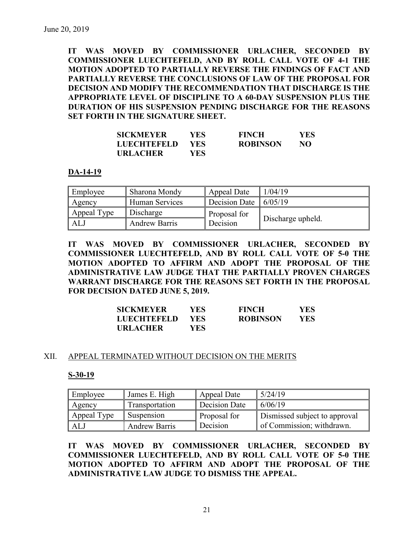**IT WAS MOVED BY COMMISSIONER URLACHER, SECONDED BY COMMISSIONER LUECHTEFELD, AND BY ROLL CALL VOTE OF 4-1 THE MOTION ADOPTED TO PARTIALLY REVERSE THE FINDINGS OF FACT AND PARTIALLY REVERSE THE CONCLUSIONS OF LAW OF THE PROPOSAL FOR DECISION AND MODIFY THE RECOMMENDATION THAT DISCHARGE IS THE APPROPRIATE LEVEL OF DISCIPLINE TO A 60-DAY SUSPENSION PLUS THE DURATION OF HIS SUSPENSION PENDING DISCHARGE FOR THE REASONS SET FORTH IN THE SIGNATURE SHEET.**

| SICKMEYER          | YES.       | <b>FINCH</b>    | <b>YES</b> |
|--------------------|------------|-----------------|------------|
| <b>LUECHTEFELD</b> | <b>YES</b> | <b>ROBINSON</b> | NO         |
| <b>URLACHER</b>    | YES.       |                 |            |

#### **DA-14-19**

| Employee    | Sharona Mondy        | Appeal Date   | 1/04/19           |
|-------------|----------------------|---------------|-------------------|
| Agency      | Human Services       | Decision Date | 6/05/19           |
| Appeal Type | Discharge            | Proposal for  |                   |
| ALJ         | <b>Andrew Barris</b> | Decision      | Discharge upheld. |

**IT WAS MOVED BY COMMISSIONER URLACHER, SECONDED BY COMMISSIONER LUECHTEFELD, AND BY ROLL CALL VOTE OF 5-0 THE MOTION ADOPTED TO AFFIRM AND ADOPT THE PROPOSAL OF THE ADMINISTRATIVE LAW JUDGE THAT THE PARTIALLY PROVEN CHARGES WARRANT DISCHARGE FOR THE REASONS SET FORTH IN THE PROPOSAL FOR DECISION DATED JUNE 5, 2019.**

| SICKMEYER          | YES. | <b>FINCH</b>    | <b>YES</b> |
|--------------------|------|-----------------|------------|
| <b>LUECHTEFELD</b> | YES. | <b>ROBINSON</b> | <b>YES</b> |
| <b>URLACHER</b>    | YES. |                 |            |

#### XII. APPEAL TERMINATED WITHOUT DECISION ON THE MERITS

#### **S-30-19**

| Employee    | James E. High        | Appeal Date   | 5/24/19                       |
|-------------|----------------------|---------------|-------------------------------|
| Agency      | Transportation       | Decision Date | 6/06/19                       |
| Appeal Type | Suspension           | Proposal for  | Dismissed subject to approval |
| ALJ         | <b>Andrew Barris</b> | Decision      | of Commission; withdrawn.     |

**IT WAS MOVED BY COMMISSIONER URLACHER, SECONDED BY COMMISSIONER LUECHTEFELD, AND BY ROLL CALL VOTE OF 5-0 THE MOTION ADOPTED TO AFFIRM AND ADOPT THE PROPOSAL OF THE ADMINISTRATIVE LAW JUDGE TO DISMISS THE APPEAL.**